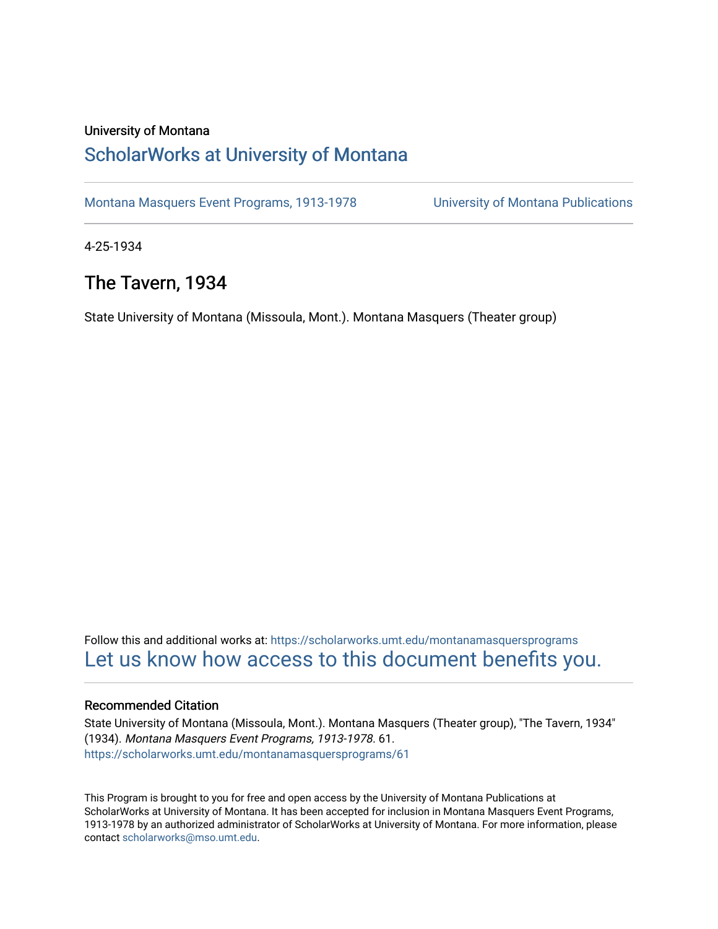#### University of Montana

## [ScholarWorks at University of Montana](https://scholarworks.umt.edu/)

[Montana Masquers Event Programs, 1913-1978](https://scholarworks.umt.edu/montanamasquersprograms) [University of Montana Publications](https://scholarworks.umt.edu/umpubs) 

4-25-1934

## The Tavern, 1934

State University of Montana (Missoula, Mont.). Montana Masquers (Theater group)

Follow this and additional works at: [https://scholarworks.umt.edu/montanamasquersprograms](https://scholarworks.umt.edu/montanamasquersprograms?utm_source=scholarworks.umt.edu%2Fmontanamasquersprograms%2F61&utm_medium=PDF&utm_campaign=PDFCoverPages) [Let us know how access to this document benefits you.](https://goo.gl/forms/s2rGfXOLzz71qgsB2) 

#### Recommended Citation

State University of Montana (Missoula, Mont.). Montana Masquers (Theater group), "The Tavern, 1934" (1934). Montana Masquers Event Programs, 1913-1978. 61. [https://scholarworks.umt.edu/montanamasquersprograms/61](https://scholarworks.umt.edu/montanamasquersprograms/61?utm_source=scholarworks.umt.edu%2Fmontanamasquersprograms%2F61&utm_medium=PDF&utm_campaign=PDFCoverPages) 

This Program is brought to you for free and open access by the University of Montana Publications at ScholarWorks at University of Montana. It has been accepted for inclusion in Montana Masquers Event Programs, 1913-1978 by an authorized administrator of ScholarWorks at University of Montana. For more information, please contact [scholarworks@mso.umt.edu](mailto:scholarworks@mso.umt.edu).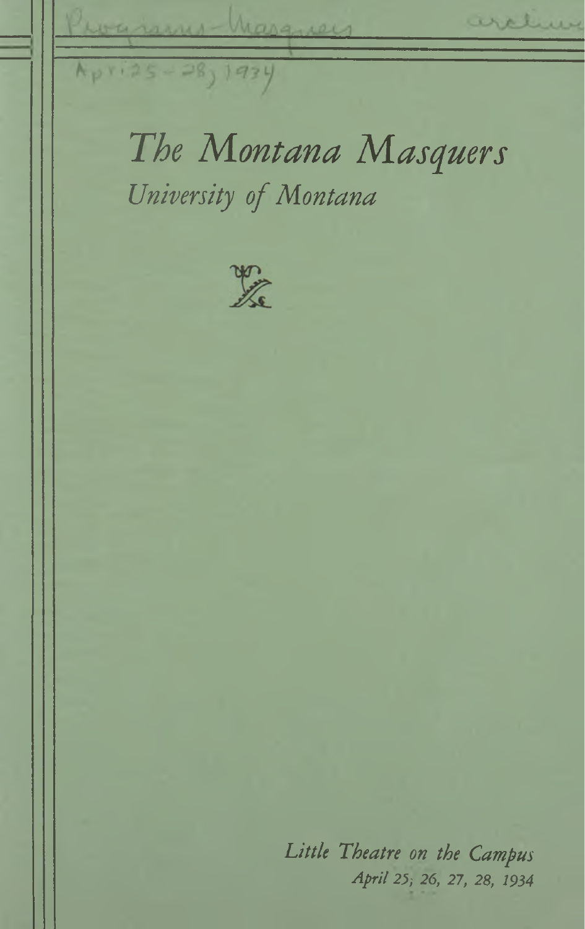archive warrens-Marguers Apri25-28, 1934 *The Montana Masquers University ofMontana* X

> *Little Theatre on the Campus April 25; 26, 27, 28, 1934*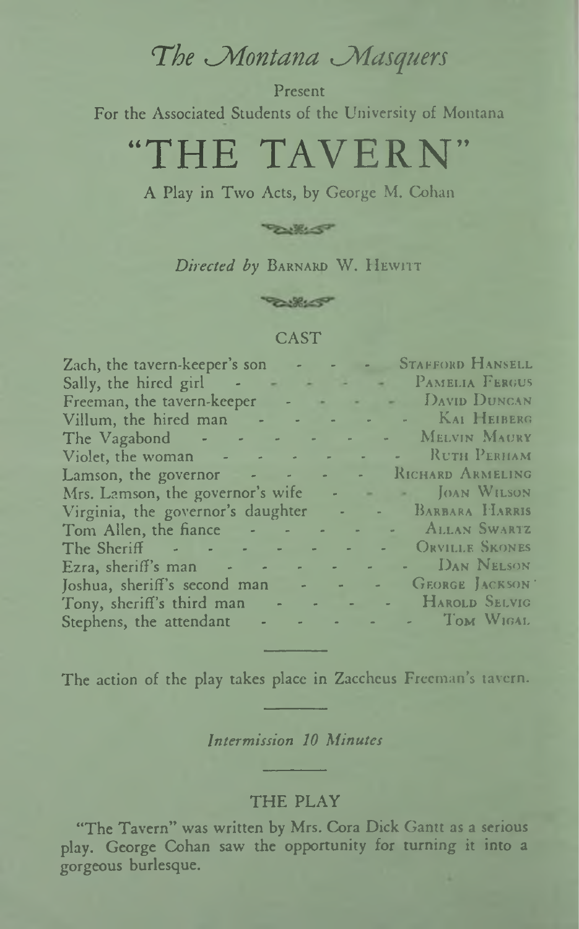# The Montana Masquers

Present For the Associated Students of the University of Montana

# "THE TAVERN"

A Play in Two Acts, by George M. Cohan



Directed by BARNARD W. HEWITT

**BURLEY** 

#### **CAST**

| Zach, the tavern-keeper's son - - - - STAFFORD HANSELL |
|--------------------------------------------------------|
| Sally, the hired girl - - - - PAMELIA FERGUS           |
| Freeman, the tavern-keeper - - - - DAVID DUNCAN        |
| Villum, the hired man - - - - - - - KAI HEIBERG        |
| The Vagabond - - - - - - - - MELVIN MAURY              |
| Violet, the woman - - - - - - - - RUTH PERHAM          |
| Lamson, the governor - - - - - RICHARD ARMELING        |
| Mrs. Lamson, the governor's wife - - - JOAN WILSON     |
| Virginia, the governor's daughter - - BARBARA HARRIS   |
| Tom Allen, the fiance - - - - - - ALLAN SWARTZ         |
| The Sheriff - - - - - - - - ORVILLE SKONES             |
| Ezra, sheriff's man DAN NELSON                         |
| Joshua, sheriff's second man - - - - - GEORGE JACKSON  |
| Tony, sheriff's third man - - - - - HAROLD SELVIG      |
| Stephens, the attendant - - - - - - - TOM WIGAL        |

The action of the play takes place in Zaccheus Freeman's tavern.

Intermission 10 Minutes

#### **THE PLAY**

"The Tavern" was written by Mrs. Cora Dick Gantt as a serious play. George Cohan saw the opportunity for turning it into a gorgeous burlesque.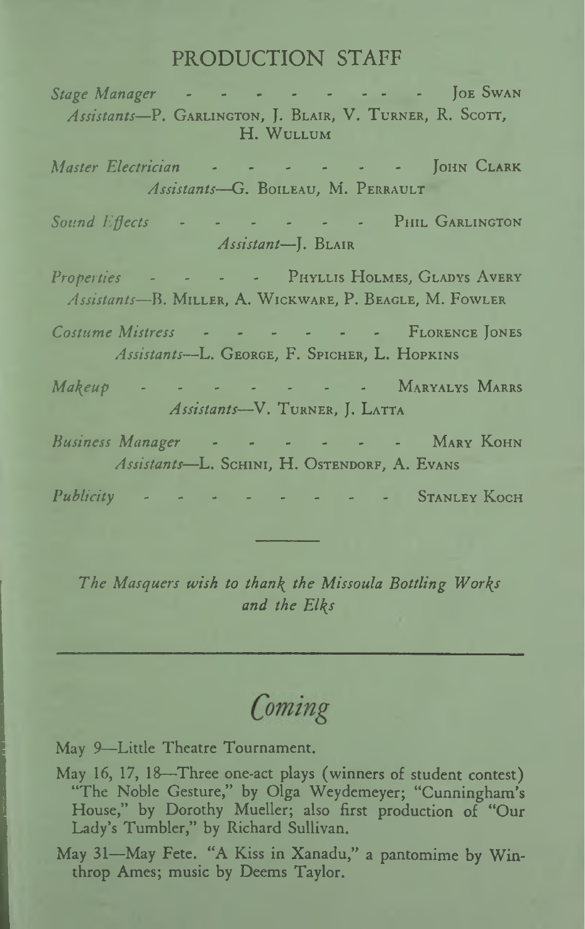### PRODUCTION STAFF

Stage Manager - - - - - - - - - - JOE SWAN Assistants-P. GARLINGTON, J. BLAIR, V. TURNER, R. SCOTT. H. WULLUM Master Electrician - - - - - - - JOHN CLARK Assistants-G. BOILEAU, M. PERRAULT - - - - - PHIL GARLINGTON Sound Effects Assistant-I. BLAIR Properties - - - - PHYLLIS HOLMES, GLADYS AVERY Assistants-B. MILLER, A. WICKWARE, P. BEAGLE, M. FOWLER Costume Mistress - - - - - - - FLORENCE JONES Assistants-L. GEORGE, F. SPICHER, L. HOPKINS Makeup - - - - - - - MARYALYS MARRS Assistants-V. TURNER, J. LATTA Business Manager - - - - - - - MARY KOHN Assistants-L. SCHINI, H. OSTENDORF, A. EVANS Publicity -- - STANLEY KOCH

The Masquers wish to thank the Missoula Bottling Works and the Elks

# Coming

May 9-Little Theatre Tournament.

- May 16, 17, 18—Three one-act plays (winners of student contest) "The Noble Gesture," by Olga Weydemeyer; "Cunningham's House," by Dorothy Mueller; also first production of "Our Lady's Tumbler," by Richard Sullivan.
- May 31-May Fete. "A Kiss in Xanadu," a pantomime by Winthrop Ames; music by Deems Taylor.